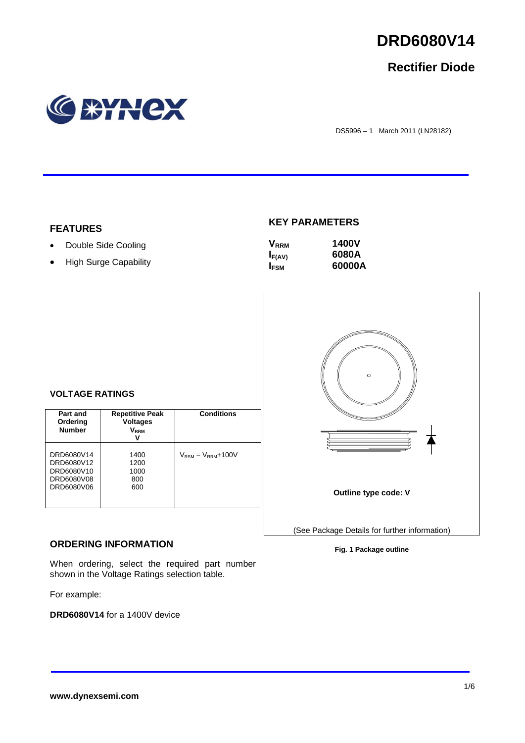

## **Rectifier Diode**



DS5996 – 1 March 2011 (LN28182)

## **FEATURES**

- Double Side Cooling
- High Surge Capability

## **KEY PARAMETERS**

| <b>V</b> <sub>RRM</sub> | <b>1400V</b> |
|-------------------------|--------------|
| $I_{F(AV)}$             | 6080A        |
| <b>I</b> <sub>FSM</sub> | 60000A       |



## **VOLTAGE RATINGS**

| Part and<br>Ordering<br><b>Number</b>                              | <b>Repetitive Peak</b><br><b>Voltages</b><br>V <sub>rrm</sub><br>v | <b>Conditions</b>                        |
|--------------------------------------------------------------------|--------------------------------------------------------------------|------------------------------------------|
| DRD6080V14<br>DRD6080V12<br>DRD6080V10<br>DRD6080V08<br>DRD6080V06 | 1400<br>1200<br>1000<br>800<br>600                                 | $V_{\text{RSM}} = V_{\text{RRM}} + 100V$ |

## **ORDERING INFORMATION**

When ordering, select the required part number shown in the Voltage Ratings selection table.

For example:

**DRD6080V14** for a 1400V device

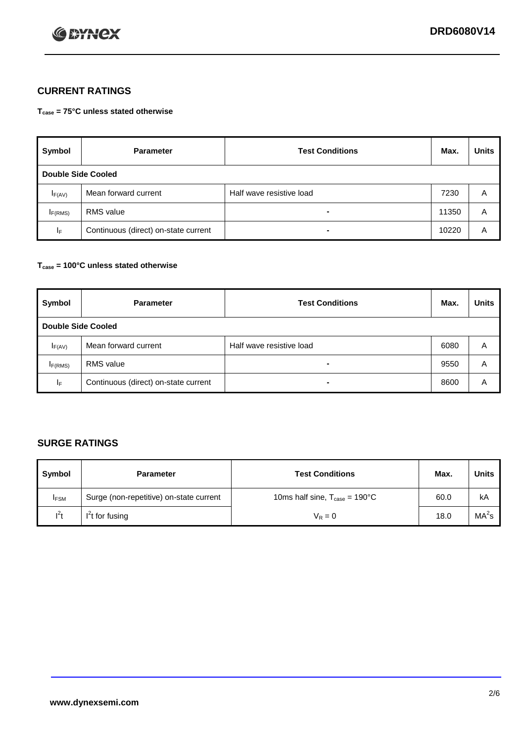

## **CURRENT RATINGS**

**Tcase = 75°C unless stated otherwise**

| Symbol      | <b>Parameter</b>                     | <b>Test Conditions</b>   | Max.  | <b>Units</b> |  |  |
|-------------|--------------------------------------|--------------------------|-------|--------------|--|--|
|             | Double Side Cooled                   |                          |       |              |  |  |
| $I_{F(AV)}$ | Mean forward current                 | Half wave resistive load | 7230  | A            |  |  |
| IF(RMS)     | <b>RMS</b> value                     | $\blacksquare$           | 11350 | A            |  |  |
| IF.         | Continuous (direct) on-state current | -                        | 10220 | A            |  |  |

## **Tcase = 100°C unless stated otherwise**

| Symbol              | <b>Parameter</b>                     | <b>Test Conditions</b>   | Max. | <b>Units</b> |  |  |
|---------------------|--------------------------------------|--------------------------|------|--------------|--|--|
|                     | <b>Double Side Cooled</b>            |                          |      |              |  |  |
| $I_{F(AV)}$         | Mean forward current                 | Half wave resistive load | 6080 | Α            |  |  |
| I <sub>F(RMS)</sub> | <b>RMS</b> value                     | $\overline{\phantom{0}}$ | 9550 | A            |  |  |
| IF                  | Continuous (direct) on-state current | ۰                        | 8600 | A            |  |  |

## **SURGE RATINGS**

| Symbol      | <b>Parameter</b>                        | <b>Test Conditions</b>                            | Max. | <b>Units</b>      |
|-------------|-----------------------------------------|---------------------------------------------------|------|-------------------|
| <b>IFSM</b> | Surge (non-repetitive) on-state current | 10ms half sine, $T_{\text{case}} = 190^{\circ}$ C | 60.0 | kA                |
| $l^2t$      | I <sup>'</sup> t for fusing             | $V_R = 0$                                         | 18.0 | MA <sup>2</sup> s |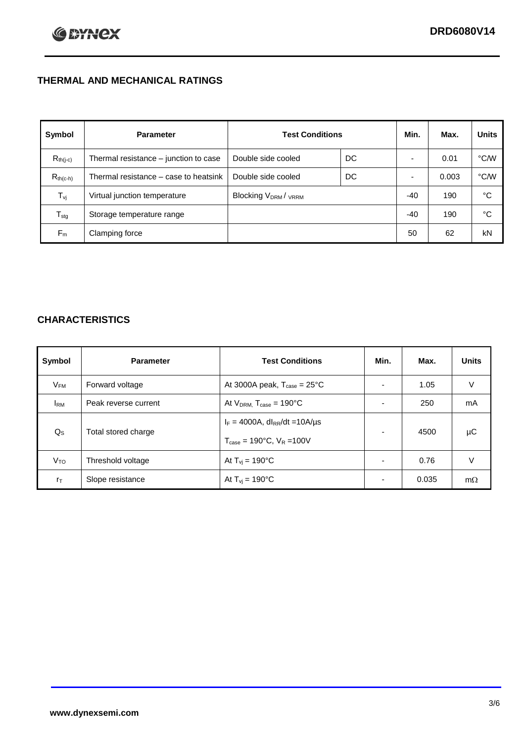## **THERMAL AND MECHANICAL RATINGS**

| Symbol           | <b>Parameter</b>                      | <b>Test Conditions</b>                      |    | Min.  | Max.  | <b>Units</b> |
|------------------|---------------------------------------|---------------------------------------------|----|-------|-------|--------------|
| $R_{th(j-c)}$    | Thermal resistance – junction to case | Double side cooled                          | DC |       | 0.01  | °C/W         |
| $R_{th(c-h)}$    | Thermal resistance – case to heatsink | Double side cooled                          | DC |       | 0.003 | °C/W         |
| $T_{\rm vj}$     | Virtual junction temperature          | Blocking V <sub>DRM</sub> / <sub>VRRM</sub> |    | $-40$ | 190   | °C           |
| $T_{\text{stg}}$ | Storage temperature range             |                                             |    | $-40$ | 190   | °C           |
| $F_m$            | Clamping force                        |                                             |    | 50    | 62    | kN           |

## **CHARACTERISTICS**

| Symbol                   | <b>Parameter</b>     | <b>Test Conditions</b>                                                                           | Min.           | Max.  | <b>Units</b> |
|--------------------------|----------------------|--------------------------------------------------------------------------------------------------|----------------|-------|--------------|
| $\mathsf{V}_\mathsf{FM}$ | Forward voltage      | At 3000A peak, $T_{\text{case}} = 25^{\circ}C$                                                   |                | 1.05  | V            |
| <b>I</b> <sub>RM</sub>   | Peak reverse current | At $V_{DRM}$ , $T_{case} = 190^{\circ}C$                                                         | ۰              | 250   | mA           |
| $Q_{\rm S}$              | Total stored charge  | $I_F = 4000A$ , dl <sub>RR</sub> /dt = 10A/us<br>$T_{\text{case}} = 190^{\circ}$ C. $V_R = 100V$ | $\blacksquare$ | 4500  | μC           |
| V <sub>TO</sub>          | Threshold voltage    | At $T_{vi} = 190^{\circ}$ C                                                                      | $\blacksquare$ | 0.76  | V            |
| $r_{\text{T}}$           | Slope resistance     | At $T_{vi} = 190^{\circ}$ C                                                                      | ۰              | 0.035 | $m\Omega$    |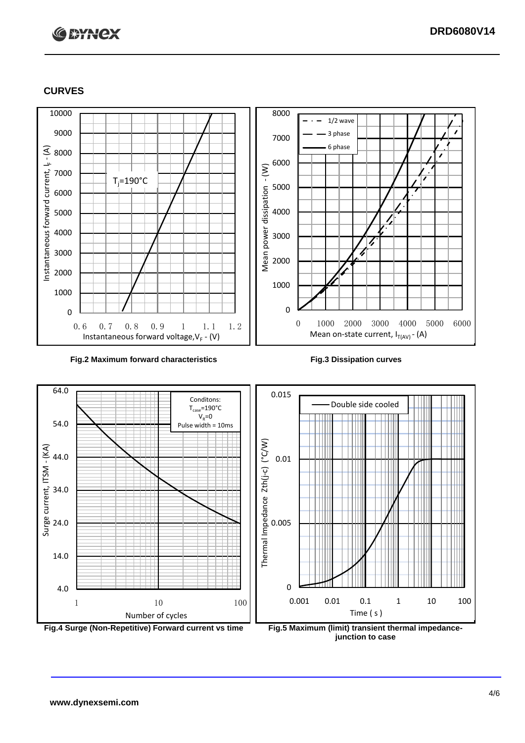# **C BYNCX**

## **CURVES**



### **Fig.2 Maximum forward characteristics Fig.3 Dissipation curves**



**junction to case**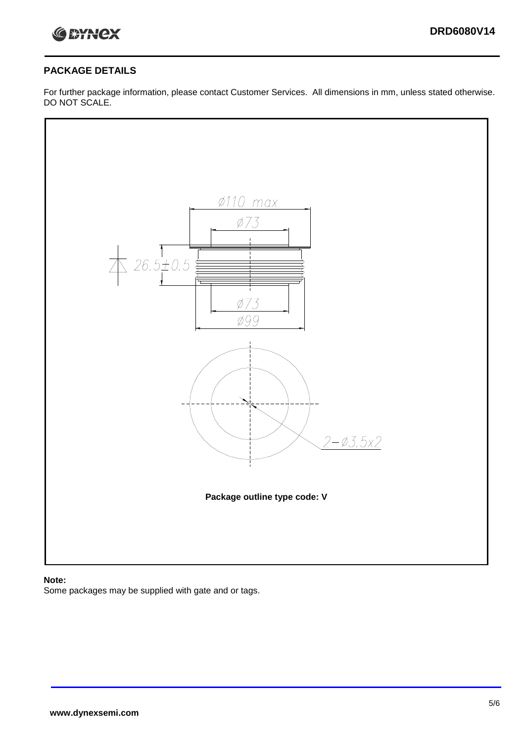

## **PACKAGE DETAILS**

For further package information, please contact Customer Services. All dimensions in mm, unless stated otherwise. DO NOT SCALE.



## **Note:**

Some packages may be supplied with gate and or tags.